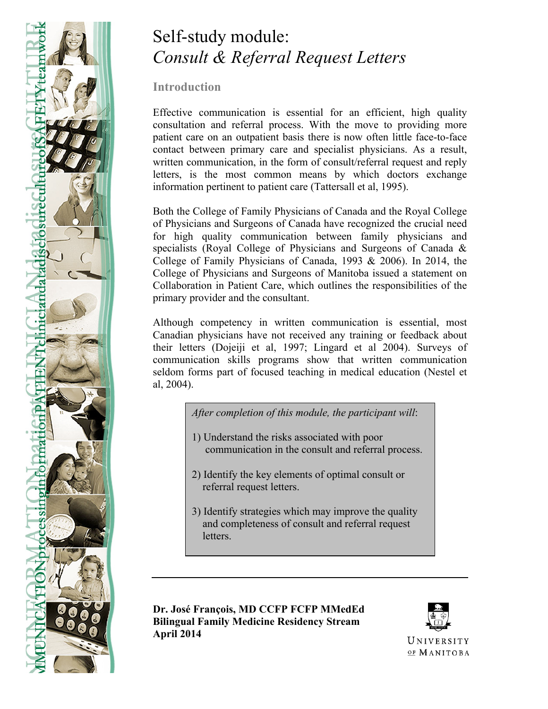

# Self-study module: *Consult & Referral Request Letters*

**Introduction**

Effective communication is essential for an efficient, high quality consultation and referral process. With the move to providing more patient care on an outpatient basis there is now often little face-to-face contact between primary care and specialist physicians. As a result, written communication, in the form of consult/referral request and reply letters, is the most common means by which doctors exchange information pertinent to patient care (Tattersall et al, 1995).

Both the College of Family Physicians of Canada and the Royal College of Physicians and Surgeons of Canada have recognized the crucial need for high quality communication between family physicians and specialists (Royal College of Physicians and Surgeons of Canada & College of Family Physicians of Canada, 1993 & 2006). In 2014, the College of Physicians and Surgeons of Manitoba issued a statement on Collaboration in Patient Care, which outlines the responsibilities of the primary provider and the consultant.

Although competency in written communication is essential, most Canadian physicians have not received any training or feedback about their letters (Dojeiji et al, 1997; Lingard et al 2004). Surveys of communication skills programs show that written communication seldom forms part of focused teaching in medical education (Nestel et al, 2004).

*After completion of this module, the participant will*:

- 1) Understand the risks associated with poor communication in the consult and referral process.
- 2) Identify the key elements of optimal consult or referral request letters.
- 3) Identify strategies which may improve the quality and completeness of consult and referral request letters.

**Dr. José François, MD CCFP FCFP MMedEd Bilingual Family Medicine Residency Stream April 2014**

-

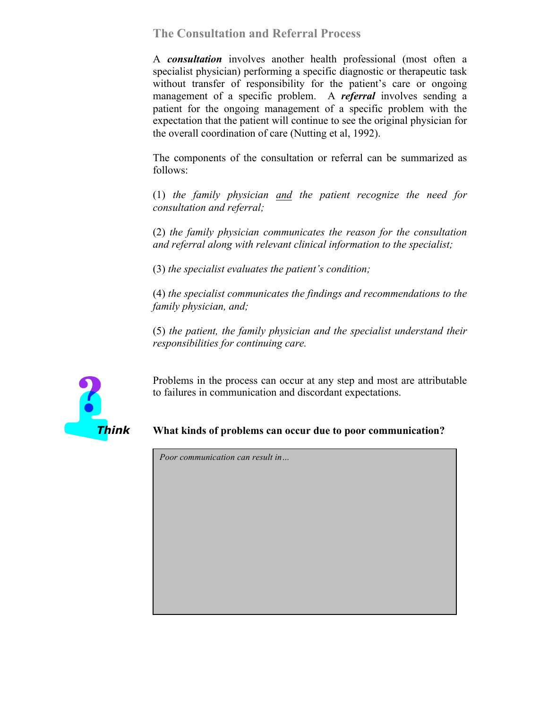**The Consultation and Referral Process**

A *consultation* involves another health professional (most often a specialist physician) performing a specific diagnostic or therapeutic task without transfer of responsibility for the patient's care or ongoing management of a specific problem. A *referral* involves sending a patient for the ongoing management of a specific problem with the expectation that the patient will continue to see the original physician for the overall coordination of care (Nutting et al, 1992).

The components of the consultation or referral can be summarized as follows:

(1) *the family physician and the patient recognize the need for consultation and referral;*

(2) *the family physician communicates the reason for the consultation and referral along with relevant clinical information to the specialist;*

(3) *the specialist evaluates the patient's condition;*

(4) *the specialist communicates the findings and recommendations to the family physician, and;*

(5) *the patient, the family physician and the specialist understand their responsibilities for continuing care.*



Problems in the process can occur at any step and most are attributable to failures in communication and discordant expectations.

## *Think* **What kinds of problems can occur due to poor communication?**

*Poor communication can result in…*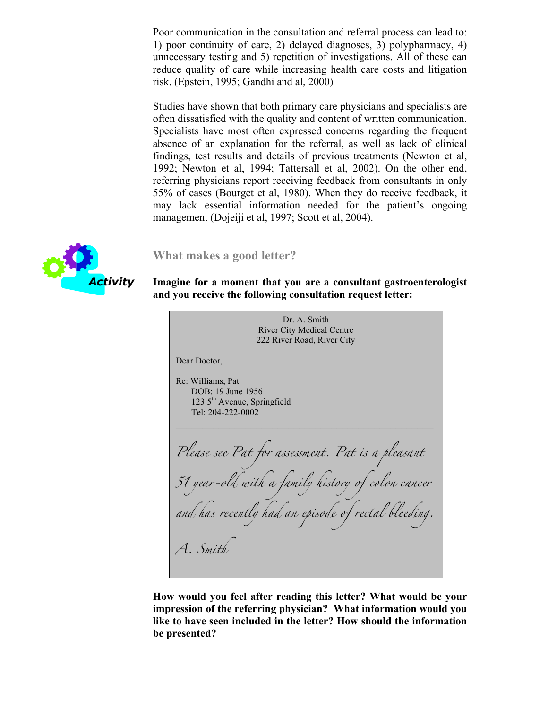Poor communication in the consultation and referral process can lead to: 1) poor continuity of care, 2) delayed diagnoses, 3) polypharmacy, 4) unnecessary testing and 5) repetition of investigations. All of these can reduce quality of care while increasing health care costs and litigation risk. (Epstein, 1995; Gandhi and al, 2000)

Studies have shown that both primary care physicians and specialists are often dissatisfied with the quality and content of written communication. Specialists have most often expressed concerns regarding the frequent absence of an explanation for the referral, as well as lack of clinical findings, test results and details of previous treatments (Newton et al, 1992; Newton et al, 1994; Tattersall et al, 2002). On the other end, referring physicians report receiving feedback from consultants in only 55% of cases (Bourget et al, 1980). When they do receive feedback, it may lack essential information needed for the patient's ongoing management (Dojeiji et al, 1997; Scott et al, 2004).



#### **What makes a good letter?**

#### *Activity* **Imagine for a moment that you are a consultant gastroenterologist and you receive the following consultation request letter:**

Dr. A. Smith River City Medical Centre 222 River Road, River City Dear Doctor, Re: Williams, Pat DOB: 19 June 1956 123 5th Avenue, Springfield Tel: 204-222-0002 *Please see Pat for assessment. Pat is a pleasant 51 year-old with a family history of colon cancer and has recently had an episode of rectal bleeding. A. Smith*

**How would you feel after reading this letter? What would be your impression of the referring physician? What information would you like to have seen included in the letter? How should the information be presented?**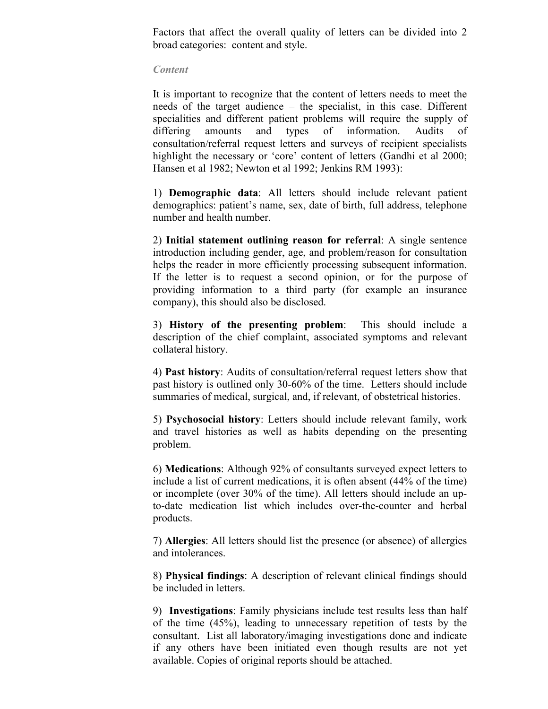Factors that affect the overall quality of letters can be divided into 2 broad categories: content and style.

#### *Content*

It is important to recognize that the content of letters needs to meet the needs of the target audience – the specialist, in this case. Different specialities and different patient problems will require the supply of differing amounts and types of information. Audits of consultation/referral request letters and surveys of recipient specialists highlight the necessary or 'core' content of letters (Gandhi et al 2000; Hansen et al 1982; Newton et al 1992; Jenkins RM 1993):

1) **Demographic data**: All letters should include relevant patient demographics: patient's name, sex, date of birth, full address, telephone number and health number.

2) **Initial statement outlining reason for referral**: A single sentence introduction including gender, age, and problem/reason for consultation helps the reader in more efficiently processing subsequent information. If the letter is to request a second opinion, or for the purpose of providing information to a third party (for example an insurance company), this should also be disclosed.

3) **History of the presenting problem**: This should include a description of the chief complaint, associated symptoms and relevant collateral history.

4) **Past history**: Audits of consultation/referral request letters show that past history is outlined only 30-60% of the time. Letters should include summaries of medical, surgical, and, if relevant, of obstetrical histories.

5) **Psychosocial history**: Letters should include relevant family, work and travel histories as well as habits depending on the presenting problem.

6) **Medications**: Although 92% of consultants surveyed expect letters to include a list of current medications, it is often absent (44% of the time) or incomplete (over 30% of the time). All letters should include an upto-date medication list which includes over-the-counter and herbal products.

7) **Allergies**: All letters should list the presence (or absence) of allergies and intolerances.

8) **Physical findings**: A description of relevant clinical findings should be included in letters.

9) **Investigations**: Family physicians include test results less than half of the time (45%), leading to unnecessary repetition of tests by the consultant. List all laboratory/imaging investigations done and indicate if any others have been initiated even though results are not yet available. Copies of original reports should be attached.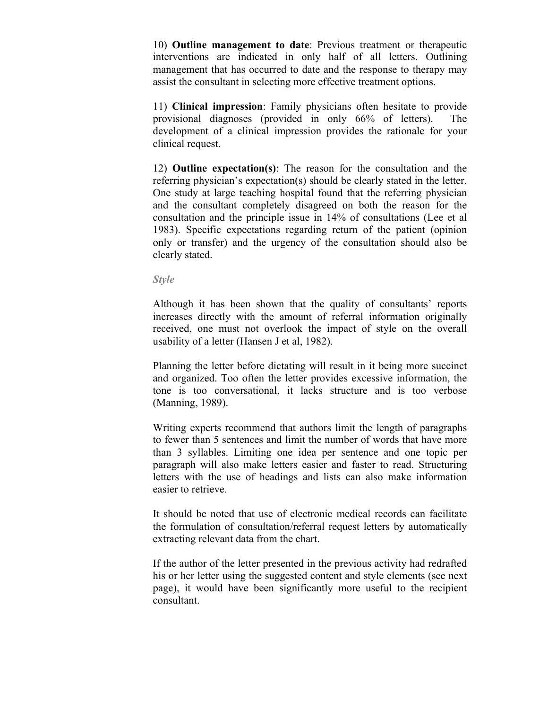10) **Outline management to date**: Previous treatment or therapeutic interventions are indicated in only half of all letters. Outlining management that has occurred to date and the response to therapy may assist the consultant in selecting more effective treatment options.

11) **Clinical impression**: Family physicians often hesitate to provide provisional diagnoses (provided in only 66% of letters). The development of a clinical impression provides the rationale for your clinical request.

12) **Outline expectation(s)**: The reason for the consultation and the referring physician's expectation(s) should be clearly stated in the letter. One study at large teaching hospital found that the referring physician and the consultant completely disagreed on both the reason for the consultation and the principle issue in 14% of consultations (Lee et al 1983). Specific expectations regarding return of the patient (opinion only or transfer) and the urgency of the consultation should also be clearly stated.

*Style*

Although it has been shown that the quality of consultants' reports increases directly with the amount of referral information originally received, one must not overlook the impact of style on the overall usability of a letter (Hansen J et al, 1982).

Planning the letter before dictating will result in it being more succinct and organized. Too often the letter provides excessive information, the tone is too conversational, it lacks structure and is too verbose (Manning, 1989).

Writing experts recommend that authors limit the length of paragraphs to fewer than 5 sentences and limit the number of words that have more than 3 syllables. Limiting one idea per sentence and one topic per paragraph will also make letters easier and faster to read. Structuring letters with the use of headings and lists can also make information easier to retrieve.

It should be noted that use of electronic medical records can facilitate the formulation of consultation/referral request letters by automatically extracting relevant data from the chart.

If the author of the letter presented in the previous activity had redrafted his or her letter using the suggested content and style elements (see next page), it would have been significantly more useful to the recipient consultant.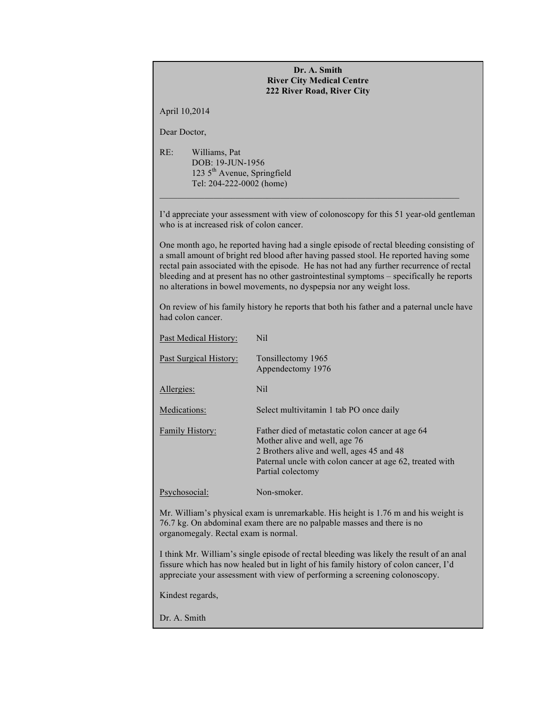#### **Dr. A. Smith River City Medical Centre 222 River Road, River City**

April 10,2014

Dear Doctor,

RE: Williams, Pat DOB: 19-JUN-1956 123 5th Avenue, Springfield Tel: 204-222-0002 (home)

I'd appreciate your assessment with view of colonoscopy for this 51 year-old gentleman who is at increased risk of colon cancer.

One month ago, he reported having had a single episode of rectal bleeding consisting of a small amount of bright red blood after having passed stool. He reported having some rectal pain associated with the episode. He has not had any further recurrence of rectal bleeding and at present has no other gastrointestinal symptoms – specifically he reports no alterations in bowel movements, no dyspepsia nor any weight loss.

On review of his family history he reports that both his father and a paternal uncle have had colon cancer.

| Past Medical History:  | Nil                                                                                                                                                                                                             |
|------------------------|-----------------------------------------------------------------------------------------------------------------------------------------------------------------------------------------------------------------|
| Past Surgical History: | Tonsillectomy 1965<br>Appendectomy 1976                                                                                                                                                                         |
| Allergies:             | Nil.                                                                                                                                                                                                            |
| Medications:           | Select multivitamin 1 tab PO once daily                                                                                                                                                                         |
| <b>Family History:</b> | Father died of metastatic colon cancer at age 64<br>Mother alive and well, age 76<br>2 Brothers alive and well, ages 45 and 48<br>Paternal uncle with colon cancer at age 62, treated with<br>Partial colectomy |
| Psychosocial:          | Non-smoker.                                                                                                                                                                                                     |

Mr. William's physical exam is unremarkable. His height is 1.76 m and his weight is 76.7 kg. On abdominal exam there are no palpable masses and there is no organomegaly. Rectal exam is normal.

I think Mr. William's single episode of rectal bleeding was likely the result of an anal fissure which has now healed but in light of his family history of colon cancer, I'd appreciate your assessment with view of performing a screening colonoscopy.

Kindest regards,

Dr. A. Smith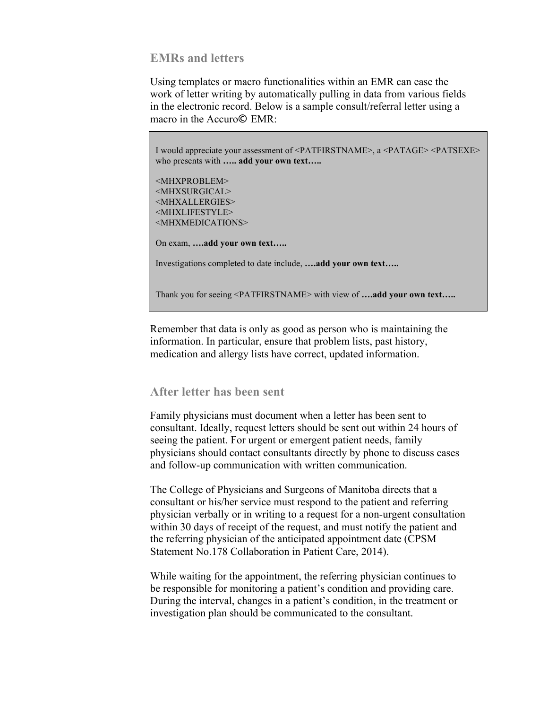## **EMRs and letters**

Using templates or macro functionalities within an EMR can ease the work of letter writing by automatically pulling in data from various fields in the electronic record. Below is a sample consult/referral letter using a macro in the Accuro**©** EMR:

I would appreciate your assessment of <PATFIRSTNAME>, a <PATAGE> <PATSEXE> who presents with **….. add your own text…..**

<MHXPROBLEM> <MHXSURGICAL> <MHXALLERGIES> <MHXLIFESTYLE> <MHXMEDICATIONS>

On exam, **….add your own text…..**

Investigations completed to date include, **….add your own text…..**

Thank you for seeing <PATFIRSTNAME> with view of **….add your own text…..**

Remember that data is only as good as person who is maintaining the information. In particular, ensure that problem lists, past history, medication and allergy lists have correct, updated information.

## **After letter has been sent**

Family physicians must document when a letter has been sent to consultant. Ideally, request letters should be sent out within 24 hours of seeing the patient. For urgent or emergent patient needs, family physicians should contact consultants directly by phone to discuss cases and follow-up communication with written communication.

The College of Physicians and Surgeons of Manitoba directs that a consultant or his/her service must respond to the patient and referring physician verbally or in writing to a request for a non-urgent consultation within 30 days of receipt of the request, and must notify the patient and the referring physician of the anticipated appointment date (CPSM Statement No.178 Collaboration in Patient Care, 2014).

While waiting for the appointment, the referring physician continues to be responsible for monitoring a patient's condition and providing care. During the interval, changes in a patient's condition, in the treatment or investigation plan should be communicated to the consultant.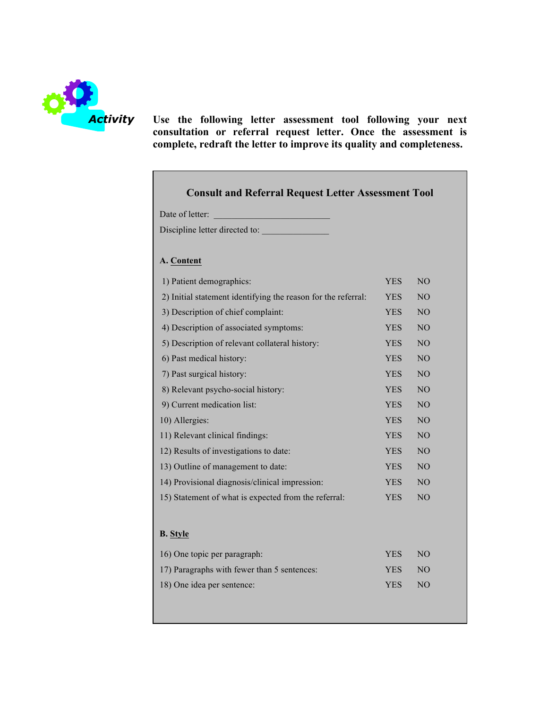

*Activity* **Use the following letter assessment tool following your next consultation or referral request letter. Once the assessment is complete, redraft the letter to improve its quality and completeness.**

# **Consult and Referral Request Letter Assessment Tool**

| Date of letter: |  |
|-----------------|--|
|-----------------|--|

Discipline letter directed to: \_\_\_\_\_\_\_\_\_\_\_\_\_\_\_

#### **A. Content**

| 1) Patient demographics:                                      |            | NO             |  |
|---------------------------------------------------------------|------------|----------------|--|
| 2) Initial statement identifying the reason for the referral: |            | N <sub>O</sub> |  |
| 3) Description of chief complaint:                            |            | NO             |  |
| 4) Description of associated symptoms:                        |            | NO             |  |
| 5) Description of relevant collateral history:                |            | N <sub>O</sub> |  |
| 6) Past medical history:                                      |            | N <sub>O</sub> |  |
| 7) Past surgical history:                                     | <b>YES</b> | NO             |  |
| 8) Relevant psycho-social history:                            |            | NO             |  |
| 9) Current medication list:                                   | <b>YES</b> | NO             |  |
| 10) Allergies:                                                |            | NO             |  |
| 11) Relevant clinical findings:                               |            | N <sub>O</sub> |  |
| 12) Results of investigations to date:                        |            | N <sub>O</sub> |  |
| 13) Outline of management to date:                            |            | NO             |  |
| 14) Provisional diagnosis/clinical impression:                |            | NO             |  |
| 15) Statement of what is expected from the referral:          |            | N <sub>O</sub> |  |
|                                                               |            |                |  |
| <b>B.</b> Style                                               |            |                |  |
| 16) One topic per paragraph:                                  | <b>YES</b> | N <sub>O</sub> |  |
| 17) Paragraphs with fewer than 5 sentences:                   |            | NO             |  |
| 18) One idea per sentence:                                    |            | N <sub>O</sub> |  |
|                                                               |            |                |  |